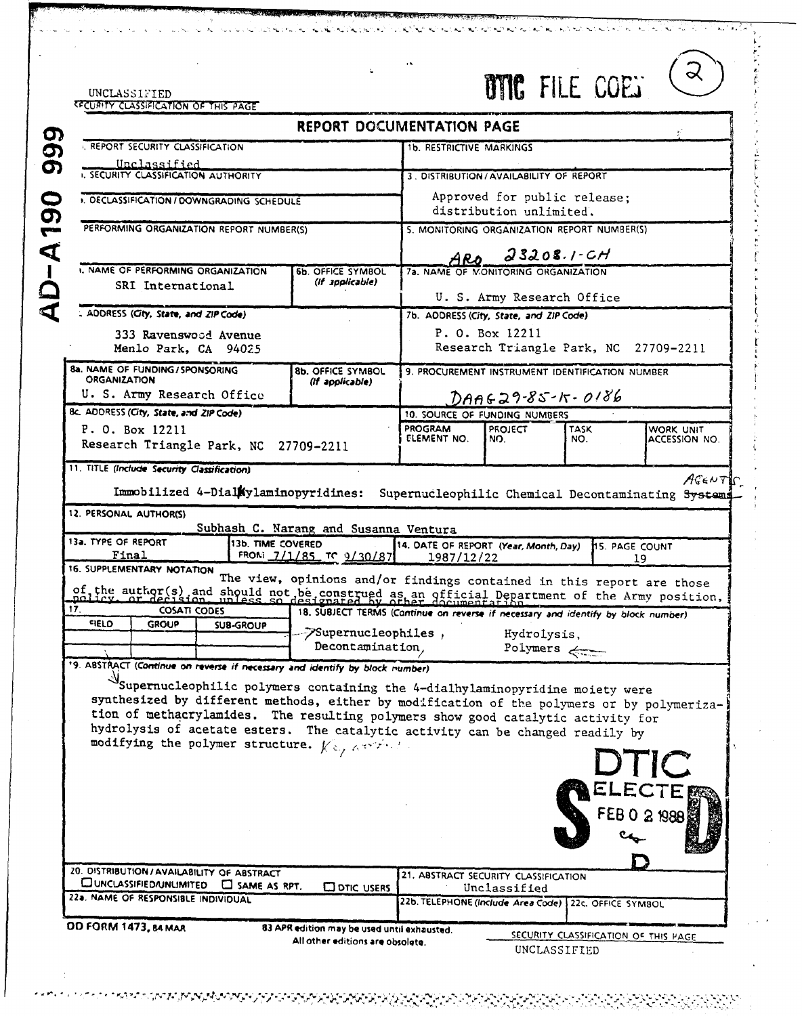| UNCLASSIFIED                                                                                                                                                               |                                                                                   |                                                         | <b>BYIC FILE COET</b>                                                 |                       | ∝             |
|----------------------------------------------------------------------------------------------------------------------------------------------------------------------------|-----------------------------------------------------------------------------------|---------------------------------------------------------|-----------------------------------------------------------------------|-----------------------|---------------|
| RECURITY CLASSIFICATION OF THIS PAGE                                                                                                                                       | <b>REPORT DOCUMENTATION PAGE</b>                                                  |                                                         |                                                                       |                       |               |
| <b>I. REPORT SECURITY CLASSIFICATION</b>                                                                                                                                   |                                                                                   | <b>1b. RESTRICTIVE MARKINGS</b>                         |                                                                       |                       |               |
| Unclassified                                                                                                                                                               |                                                                                   |                                                         |                                                                       |                       |               |
| I. SECURITY CLASSIFICATION AUTHORITY                                                                                                                                       |                                                                                   | 3. DISTRIBUTION/AVAILABILITY OF REPORT                  |                                                                       |                       |               |
| . DECLASSIFICATION / DOWNGRADING SCHEDULE                                                                                                                                  |                                                                                   | Approved for public release;<br>distribution unlimited. |                                                                       |                       |               |
| PERFORMING ORGANIZATION REPORT NUMBER(S)                                                                                                                                   |                                                                                   | 5. MONITORING ORGANIZATION REPORT NUMBER(S)             |                                                                       |                       |               |
|                                                                                                                                                                            |                                                                                   |                                                         | $23208.1 - CH$                                                        |                       |               |
| 1. NAME OF PERFORMING ORGANIZATION                                                                                                                                         | <b>6b. OFFICE SYMBOL</b>                                                          | ARO                                                     | 7a. NAME OF MONITORING ORGANIZATION                                   |                       |               |
| SRI International                                                                                                                                                          | (If applicable)                                                                   |                                                         |                                                                       |                       |               |
| . ADDRESS (City, State, and ZIP Code)                                                                                                                                      |                                                                                   |                                                         | U. S. Army Research Office<br>7b. ADDRESS (City, State, and ZIP Code) |                       |               |
| 333 Ravenswood Avenue                                                                                                                                                      |                                                                                   |                                                         | P. O. Box 12211                                                       |                       |               |
| Menlo Park, CA 94025                                                                                                                                                       |                                                                                   |                                                         | Research Triangle Park, NC 27709-2211                                 |                       |               |
| 8a. NAME OF FUNDING / SPONSORING<br><b>ORGANIZATION</b>                                                                                                                    | <b>8b. OFFICE SYMBOL</b>                                                          |                                                         | 9. PROCUREMENT INSTRUMENT IDENTIFICATION NUMBER                       |                       |               |
| U. S. Army Research Office                                                                                                                                                 | (If applicable)                                                                   |                                                         | $DAAG29-85-10.86$                                                     |                       |               |
| 8c. ADDRESS (City, State, and ZIP Code)                                                                                                                                    |                                                                                   |                                                         | 10. SOURCE OF FUNDING NUMBERS                                         |                       |               |
| P. O. Box 12211                                                                                                                                                            |                                                                                   | PROGRAM<br>ELEMENT NO.                                  | <b>PROJECT</b><br>NO.                                                 | <b>TASK</b><br>NO.    | WORK UNIT     |
| Research Triangle Park, NC 27709-2211                                                                                                                                      |                                                                                   |                                                         |                                                                       |                       | ACCESSION NO. |
|                                                                                                                                                                            |                                                                                   |                                                         |                                                                       |                       |               |
| 11. TITLE (Include Security Classification)                                                                                                                                |                                                                                   |                                                         |                                                                       |                       |               |
| Immobilized 4-Dial Nylaminopyridines:                                                                                                                                      |                                                                                   | Supernucleophilic Chemical Decontaminating Systems      |                                                                       |                       | AGENTIC       |
| 12. PERSONAL AUTHORISI                                                                                                                                                     |                                                                                   |                                                         |                                                                       |                       |               |
|                                                                                                                                                                            | Subhash C. Narang and Susanna Ventura                                             |                                                         |                                                                       |                       |               |
| 13a. TYPE OF REPORT<br>13b. TIME COVERED<br>Final                                                                                                                          |                                                                                   | 14. DATE OF REPORT (Year, Month, Day)                   |                                                                       | <b>H5. PAGE COUNT</b> |               |
| 16. SUPPLEMENTARY NOTATION                                                                                                                                                 | FROM 7/1/85 TO 9/30/87                                                            | 1987/12/22                                              |                                                                       |                       | 19            |
|                                                                                                                                                                            | The view, opinions and/or findings contained in this report are those             |                                                         |                                                                       |                       |               |
| of the author(s) and should not be construed as an official Department of the Army position,<br>17.<br><b>COSATI CODES</b>                                                 | 18. SUBJECT TERMS (Continue on reverse if necessary and identify by block number) |                                                         |                                                                       |                       |               |
| <b>FIELD</b><br><b>GROUP</b><br><b>SUB-GROUP</b>                                                                                                                           | />Supernucleophiles ,                                                             |                                                         | Hydrolysis,                                                           |                       |               |
|                                                                                                                                                                            | Decontamination,                                                                  |                                                         | Polymers <                                                            |                       |               |
| 19. ABSTRACT (Continue on reverse if necessary and identify by block number)                                                                                               |                                                                                   |                                                         |                                                                       |                       |               |
|                                                                                                                                                                            |                                                                                   |                                                         |                                                                       |                       |               |
| Supernucleophilic polymers containing the 4-dialhylaminopyridine moiety were<br>synthesized by different methods, either by modification of the polymers or by polymeriza- |                                                                                   |                                                         |                                                                       |                       |               |
| tion of methacrylamides. The resulting polymers show good catalytic activity for                                                                                           |                                                                                   |                                                         |                                                                       |                       |               |
| hydrolysis of acetate esters. The catalytic activity can be changed readily by                                                                                             |                                                                                   |                                                         |                                                                       |                       |               |
| modifying the polymer structure. $\chi_{\mathfrak{S},\mathcal{A}}^{\mathfrak{S},\mathfrak{S},\mathcal{A}}$ .                                                               |                                                                                   |                                                         |                                                                       |                       |               |
|                                                                                                                                                                            |                                                                                   |                                                         |                                                                       |                       | DTIC          |
|                                                                                                                                                                            |                                                                                   |                                                         |                                                                       |                       |               |
|                                                                                                                                                                            |                                                                                   |                                                         |                                                                       |                       | FEB 0 2 1988  |
|                                                                                                                                                                            |                                                                                   |                                                         |                                                                       |                       |               |
|                                                                                                                                                                            |                                                                                   |                                                         |                                                                       |                       |               |
| 20. DISTRIBUTION / AVAILABILITY OF ABSTRACT                                                                                                                                |                                                                                   | 21. ABSTRACT SECURITY CLASSIFICATION                    |                                                                       |                       |               |
| <b>CUNCLASSIFIED/UNLIMITED</b><br>$\Box$ SAME AS RPT.                                                                                                                      | <b>CO DTIC USERS</b>                                                              |                                                         | Unclassified                                                          |                       |               |
| 228. NAME OF RESPONSIBLE INDIVIDUAL                                                                                                                                        |                                                                                   | 22b. TELEPHONE (Include Area Code) 22c. OFFICE SYMBOL   |                                                                       |                       |               |

 $\mathcal{L}(\mathcal{F})$ 

⋰⋰⋰⋘⋞⋍⋵⋌⋌⋘⋣⋖⋋⋣⋖⋤⋐⋠⋥⋐⋥⋥⋐⋐⋐⋥⋥⋥⋥⋥⋥⋥⋥⋥⋥⋥⋥⋥⋥⋥⋥⋥⋥⋥⋥⋥⋥⋥⋥⋥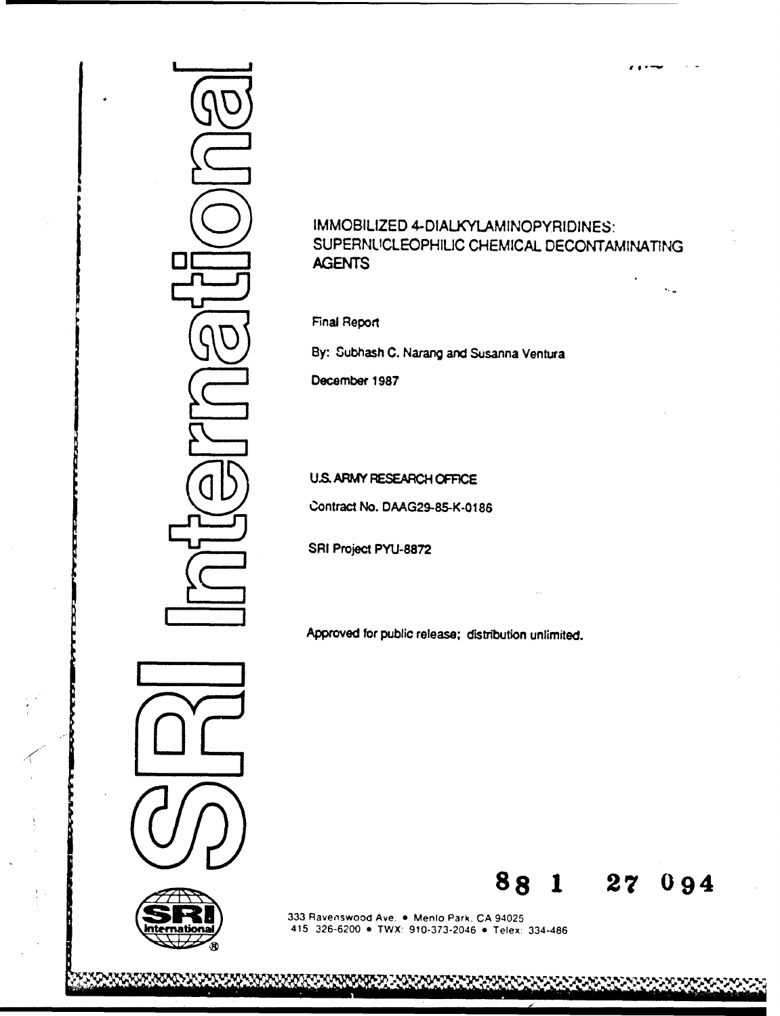

# IMMOBILIZED 4-DIALKYLAMINOPYRIDINES: SUPERNLICLEOPHILIC CHEMICAL DECONTAMINATING AGENTS

 $\bar{\psi}_{\rm esc}$ 

Final Report

By: Subhash C. Narang and Susanna Ventura

December 1987

# U.S. ARMY RESEARCH **OFFICE**

Contract No. DAAG29-85-K-0186

SRI Project **PYU-8872**

Approved for public release; distribution unlimited.





**SANTANA** 

333 Ravenswood Ave. . Menlo Park. CA 94025 415 326-6200 **\*** TWX: 910-373-2046 **\*** Telex: 334-486

\\\\\\\\\\\\\\\\\\\\\\

**88 1 27** 094

**'•N** = f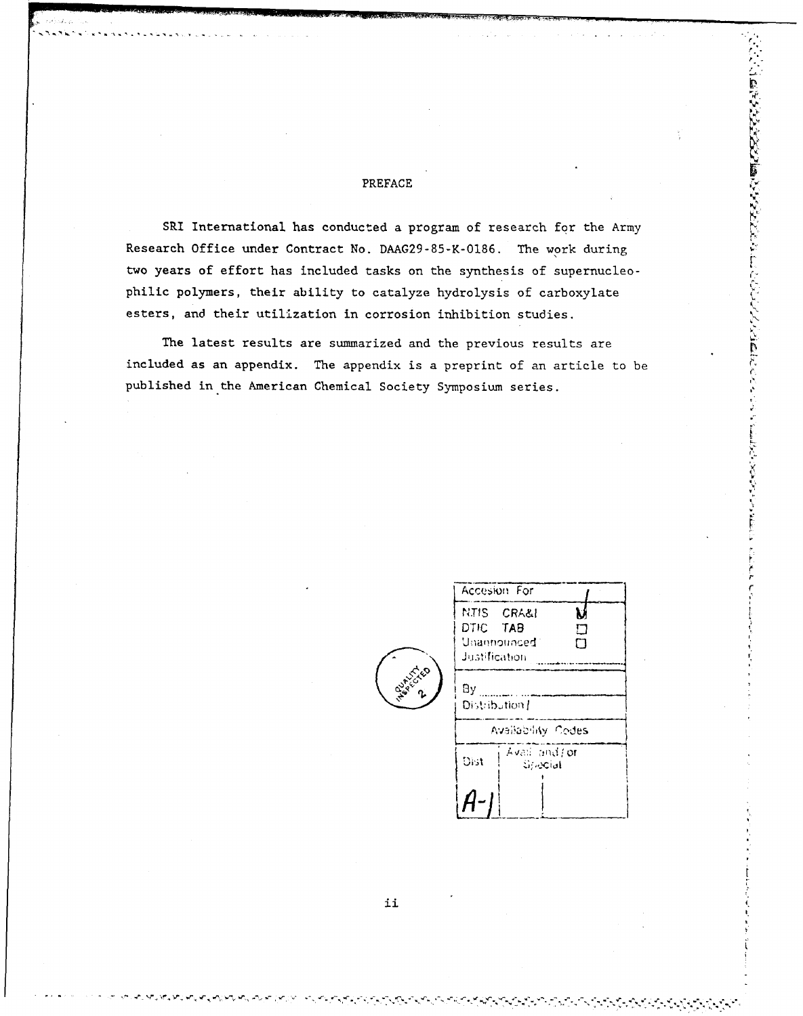# PREFACE

SRI International has conducted a program of research for the Army Research Office under Contract No. DAAG29-85-K-0186. The work during two years of effort has included tasks on the synthesis of supernucleophilic polymers, their ability to catalyze hydrolysis of carboxylate esters, and their utilization in corrosion inhibition studies.

The latest results are summarized and the previous results are included as an appendix. The appendix is a preprint of an article to be published in the American Chemical Society Symposium series.

|           | Accesion For                                                           |  |  |  |
|-----------|------------------------------------------------------------------------|--|--|--|
|           | N.TIS CRA&I<br>V<br>DTIC TAB<br>П<br>Unannounced<br>М<br>Justification |  |  |  |
| <b>BR</b> | Bу<br>Distribution I                                                   |  |  |  |
|           | Availability Codes                                                     |  |  |  |
|           | Avail and for<br>Dist<br><b>Sylocial</b>                               |  |  |  |
|           |                                                                        |  |  |  |

ことをいうということには、ここには、ここでは、このことには、こことには、ここのことを、

こうりくどう

ii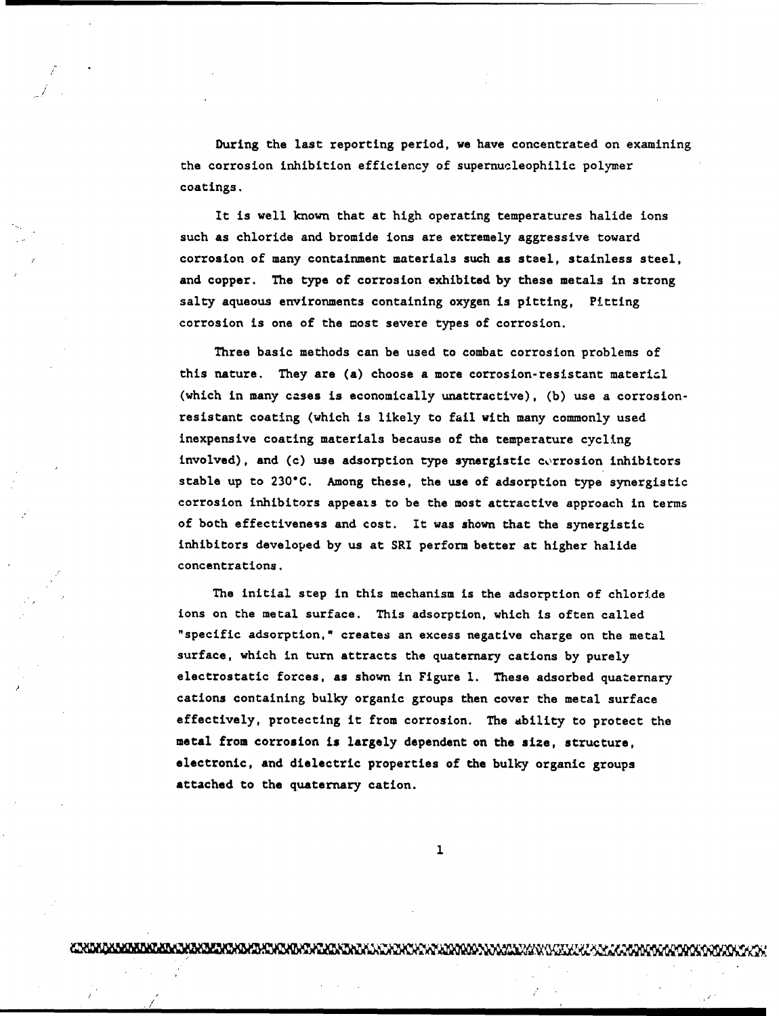During the last reporting period, we have concentrated on examining the corrosion inhibition efficiency of supernucleophilic polymer coatings.

It is well known that at high operating temperatures halide ions such as chloride and bromide ions are extremely aggressive toward corrosion of many containment materials such as steel, stainless steel, and copper. The type of corrosion exhibited by these metals in strong salty aqueous environments containing oxygen is pitting, Pitting corrosion is one of the most severe types of corrosion.

Three basic methods can be used to combat corrosion problems of this nature. They are (a) choose a more corrosion-resistant material (which in many cases is economically unattractive), (b) use a corrosionresistant coating (which is likely to fail with many commonly used inexpensive coating materials because of the temperature cycling involved), and (c) use adsorption type synergistic corrosion inhibitors stable up to 230\*C. Among these, the use of adsorption type synergistic corrosion inhibitors appeats to be the most attractive approach in terms of both effectiveness and cost. It was shown that the synergistic inhibitors developed by us at SRI perform better at higher halide concentrations.

The initial step in this mechanism is the adsorption of chloride ions on the metal surface. This adsorption, which is often called "specific adsorption," creates an excess negative charge on the metal surface, which in turn attracts the quaternary cations by purely electrostatic forces, as shown in Figure **1.** These adsorbed quaternary cations containing bulky organic groups then cover the metal surface effectively, protecting it from corrosion. The ability to protect the metal from corrosion is largely dependent on the size, structure, electronic, and dielectric properties of the bulky organic groups attached to the quaternary cation.

 $\mathbf{1}$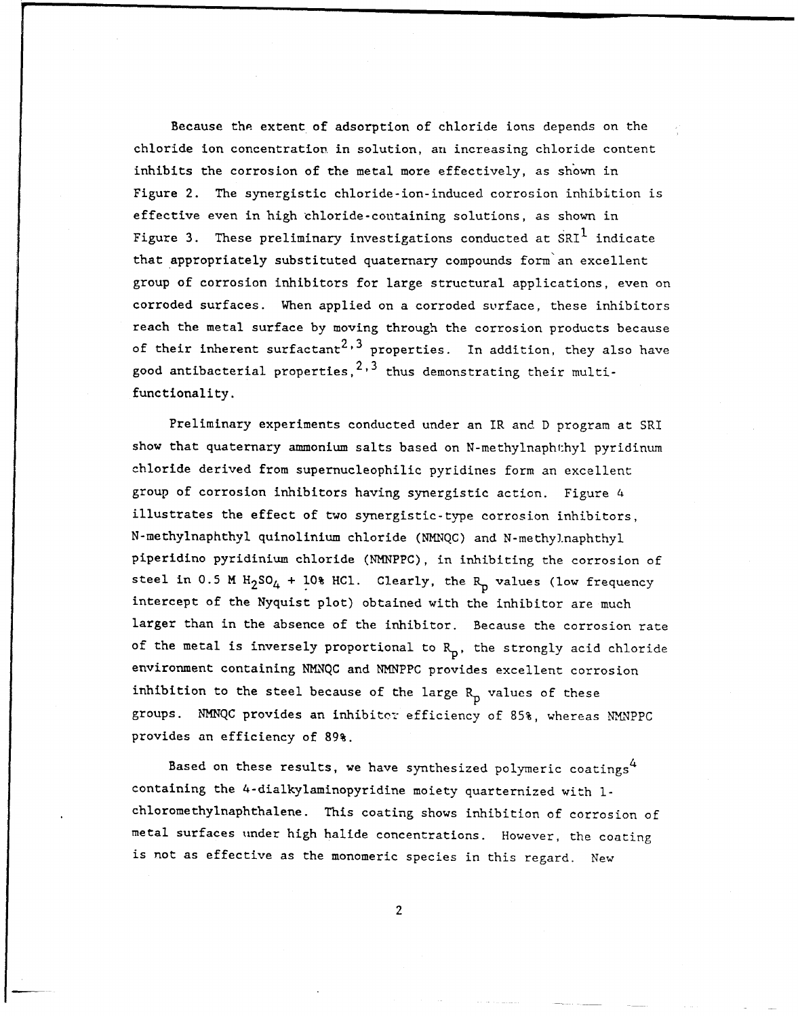Because the extent of adsorption of chloride ions depends on the chloride ion concentration in solution, an increasing chloride content inhibits the corrosion of the metal more effectively, as shown in Figure 2. The synergistic chloride-ion-induced corrosion inhibition is effective even in high chloride-containing solutions, as shown in Figure 3. These preliminary investigations conducted at SRI<sup>1</sup> indicate that appropriately substituted quaternary compounds form'an excellent group of corrosion inhibitors for large structural applications, even on corroded surfaces. When applied on a corroded surface, these inhibitors reach the metal surface by moving through the corrosion products because of their inherent surfactant<sup>2,3</sup> properties. In addition, they also have good antibacterial properties,  $2,3$  thus demonstrating their multifunctionality.

Preliminary experiments conducted under an IR and D program at SRI show that quaternary ammonium salts based on N-methylnaphthyl pyridinum chloride derived from supernucleophilic pyridines form an excellent group of corrosion inhibitors having synergistic action. Figure 4 illustrates the effect of two synergistic-type corrosion inhibitors, N-methylnaphthyl quinolinium chloride (NMNQC) and N-methylnaphthyl piperidino pyridinium chloride (NMNPPC), in inhibiting the corrosion of steel in 0.5 M  $H_2SO_4$  + 10% HCl. Clearly, the  $R_p$  values (low frequency intercept of the Nyquist plot) obtained with the inhibitor are much larger than in the absence of the inhibitor. Because the corrosion rate of the metal is inversely proportional to  $R_p$ , the strongly acid chloride environment containing NMNQC and NMNPPC provides excellent corrosion inhibition to the steel because of the large  $R_p$  values of these groups. NMNQC provides an inhibiter efficiency of 85%, whereas NM4NPPC provides an efficiency of 89%.

Based on these results, we have synthesized polymeric coatings<sup>4</sup> containing the 4-dialkylaminopyridine moiety quarternized with Ichloromethylnaphthalene. This coating shows inhibition of corrosion of metal surfaces under high halide concentrations. However, the coating is not as effective as the monomeric species in this regard. New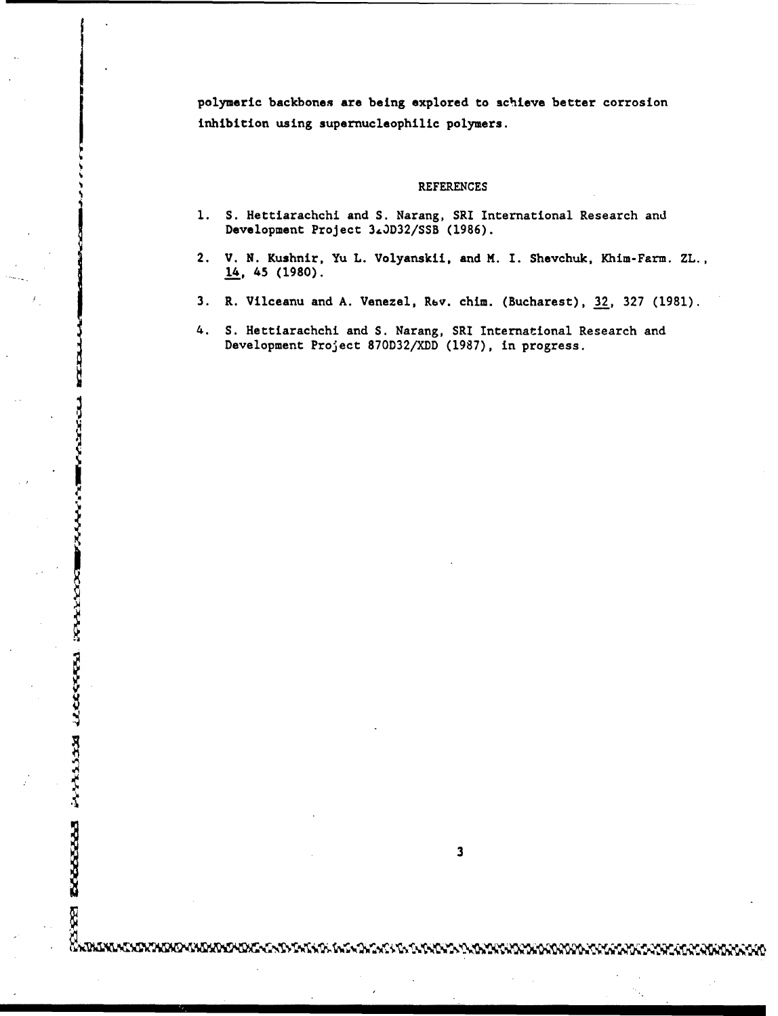polymeric backbones are being explored to achieve better corrosion inhibition using supernucleophilic polymers.

#### REFERENCES

- **1.** S. Hettiarachchi and S. Narang, SRI International Research and Development Project 3&3D32/SSB (1986).
- 2. V. N. Kushnir, Yu L. Volyanskii, and M. I. Shevchuk, Khim-Farm. ZL., 14, 45 (1980).
- 3. R. Vilceanu and A. Venezel, Rev. chim. (Bucharest), 32, 327 (1981).
- 4. **S.** Hettiarachchi and S. Narang, SRI International Research and Development Project 870D32/XDD (1987), in progress.

j **3**

**SCALLANDS** 

**PARTISTS RECOVER** 

Ŗ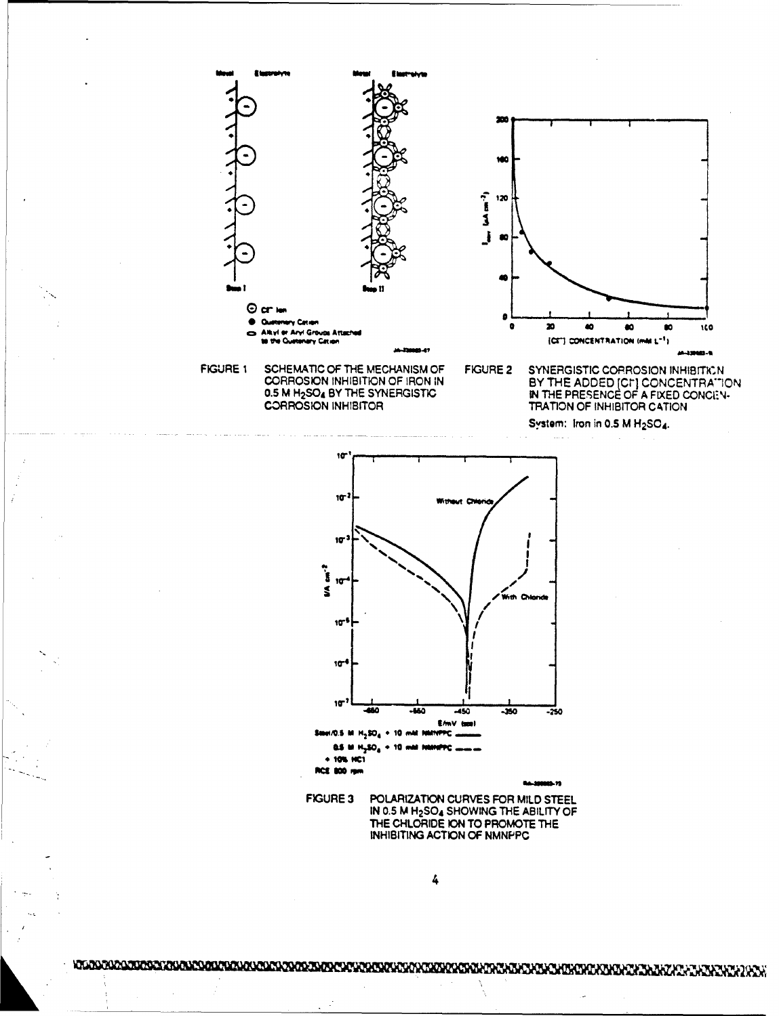

0.5 M H<sub>2</sub>SO<sub>4</sub> BY THE SYNERGISTIC **CORROSION INHIBITOR** 

System: Iron in 0.5 M H<sub>2</sub>SO4.



**FIGURE 3** POLARIZATION CURVES FOR MILD STEEL IN 0.5 M H<sub>2</sub>SO<sub>4</sub> SHOWING THE ABILITY OF THE CHLORIDE ION TO PROMOTE THE INHIBITING ACTION OF NMNPPC

4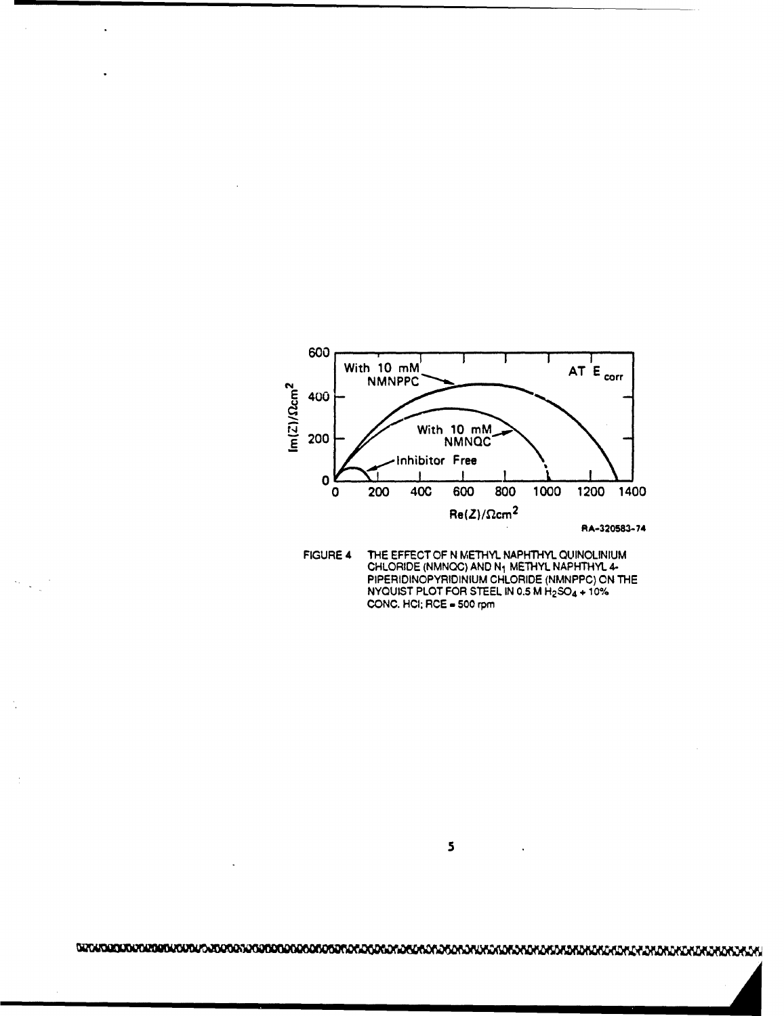



 $\overline{\mathbf{5}}$ 

.L ;. ' <sup>1</sup> **'** ,L. , , *,Q~Q~(Q* i I i I i I I I I I ~1 "l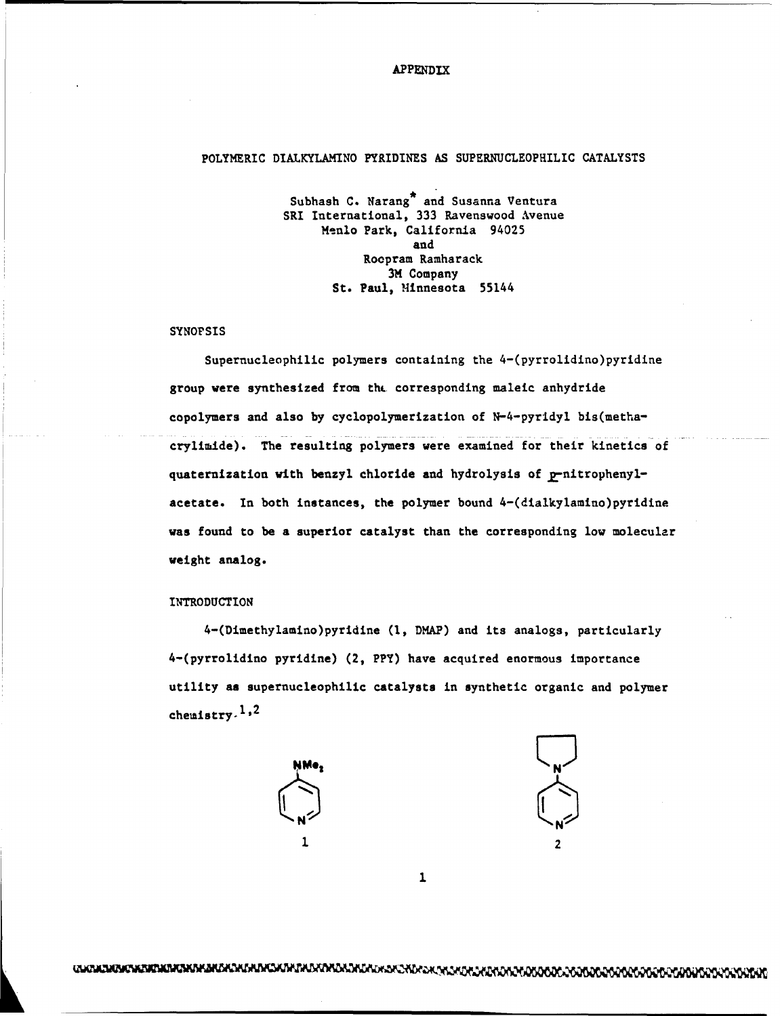# APPENDIX

# POLYMERIC DIALKYLAMINO PYRIDINES AS SUPERNUCLEOPHILIC CATALYSTS

Subhash C. Narang<sup>\*</sup> and Susanna Ventura SRI International, 333 Ravenswood Avenue Menlo Park, California 94025 and Roopram Ramharack 3M Company St. Paul, Minnesota 55144

#### SYNOPSIS

Supernucleophilic polymers containing the 4-(pyrrolidino)pyridine group were synthesized from tht. corresponding maleic anhydride copolymers and also by cyclopolymerization of N-4-pyridyl bis(methacrylimide). The resulting polymers were examined for their kinetics of quaternization with benzyl chloride and hydrolysis of p-nitrophenylacetate. In both instances, the polymer bound 4-(dialkylamino)pyridine was found to be a superior catalyst than the corresponding low molecular weight analog.

### INTRODUCTION

4-(Dimethylamino)pyridine (I, DMAP) and its analogs, particularly 4-(pyrrolidino pyridine) (2, PPY) have acquired enormous importance utility as supernucleophilic catalysts in synthetic organic and polymer chemistry.<sup>1,2</sup>





 $\mathbf{1}$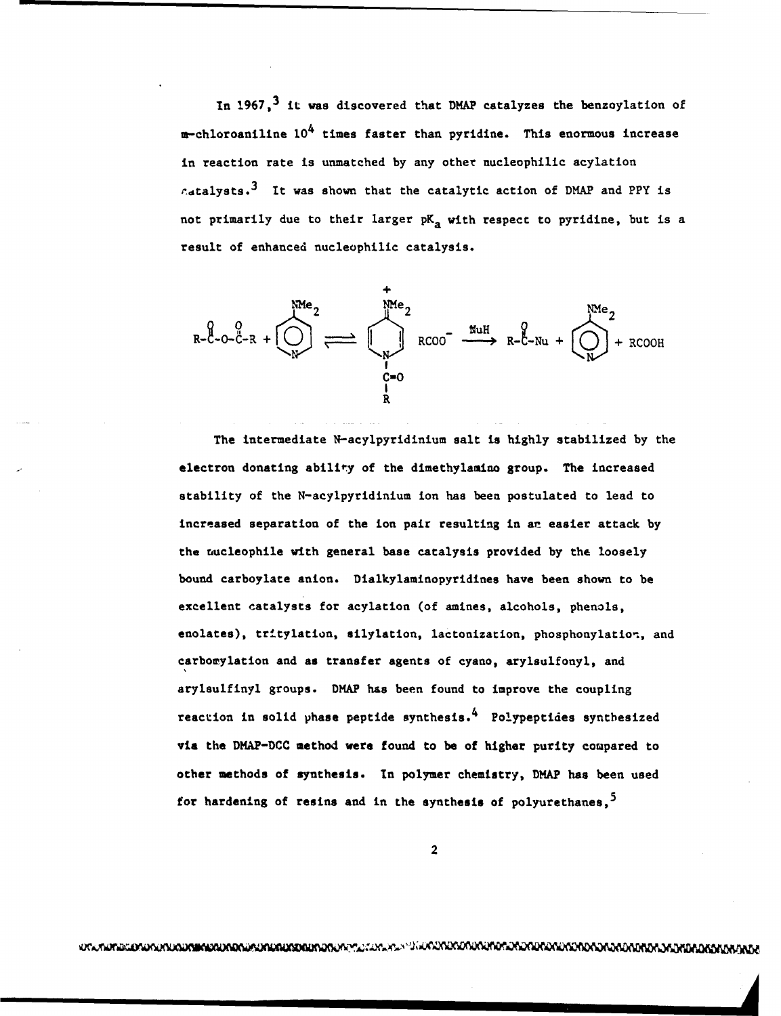In 1967,<sup>3</sup> it was discovered that DMAP catalyzes the benzoylation of  $m$ -chloroaniline  $10^4$  times faster than pyridine. This enormous increase in reaction rate is unmatched by any other nucleophilic acylation  $r_{\text{atalysts}}$ .<sup>3</sup> It was shown that the catalytic action of DMAP and PPY is not primarily due to their larger  $pK_a$  with respect to pyridine, but is a result of enhanced nucleophilic catalysis.



The intermediate N-acylpyridinium salt is highly stabilized by the electron donating ability of the dimethylamino group. The increased stability of the N-acylpyridinium ion has been postulated to lead to increased separation of the ion pair resulting in an easier attack by the nucleophile with general base catalysis provided by the loosely bound carboylate anion. Dialkylaminopyridines have been shown to be excellent catalysts for acylation (of amines, alcohols, phenols, enolates), tritylation, silylation, lactonization, phosphonylation, and carbowylation and as transfer agents of cyano, arylsulfonyl, and arylsulfinyl groups. DMAP has been found to improve the coupling reaction in solid phase peptide synthesis. 4 Polypeptides synthesized via the DMAP-DCC method were found to be of higher purity compared to other methods of synthesis. In polymer chemistry, DMAP has been used for hardening of resins and in the synthesis of polyurethanes,  $5$ 

2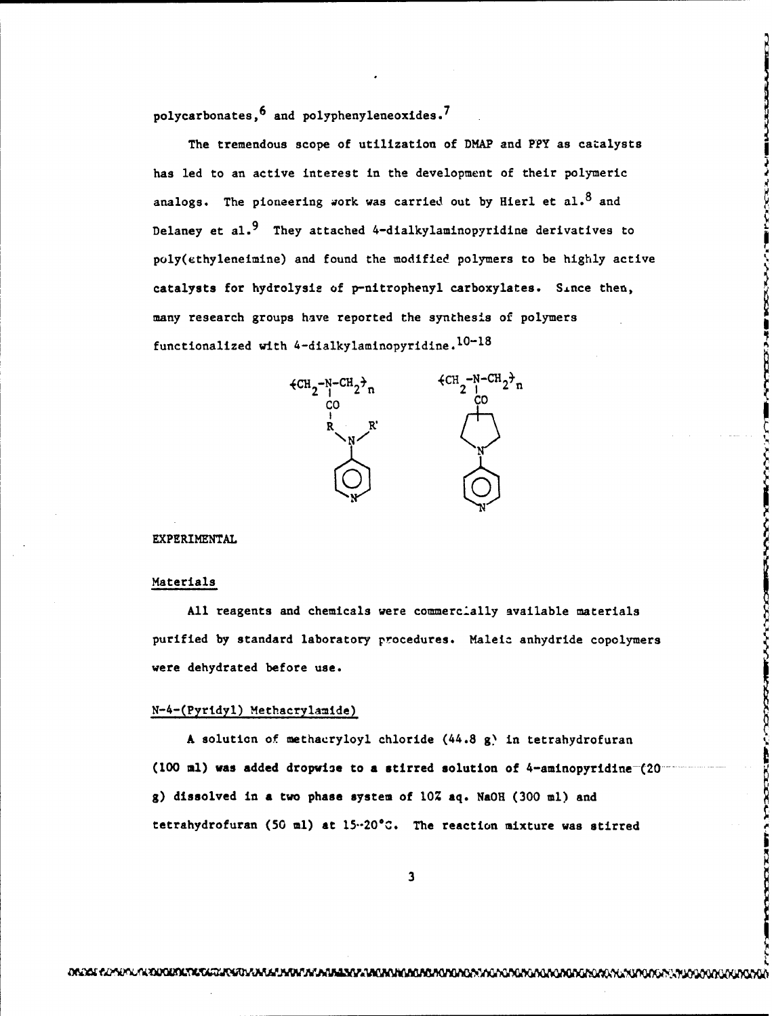polycarbonates,6 and polyphenyleneoxides.7

The tremendous scope of utilization of DMAP and PPY as catalysts has led to an active interest in the development of their polymeric analogs. The pioneering work was carried out by Hierl et al.<sup>8</sup> and Delaney et al.<sup>9</sup> They attached 4-dialkylaminopyridine derivatives to poly(ethyleneimine) and found the modified polymers to be highly active catalysts for hydrolysis of p-nitrophenyl carboxylates. Since then, many research groups have reported the synthesis of polymers functionalized with 4-dialkylaminopyridine. $10-18$ 



#### EXPERIMENTAL

#### Materials

All reagents and chemicals were commercially available materials purified by standard laboratory procedures. Maleia anhydride copolymers were dehydrated before use.

## N-4-(Pyridyl) Methacrylamide)

A solution of methacryloyl chloride  $(44.8 g)$  in tetrahydrofuran (100 ml) was added dropwise to a stirred solution of 4-aminopyridine  $(20.1)$ g) dissolved in a two phase system of 10% aq. NaOH (300 ml) and tetrahydrofuran (50 ml) at 15-20 $^{\circ}$ C. The reaction mixture was stirred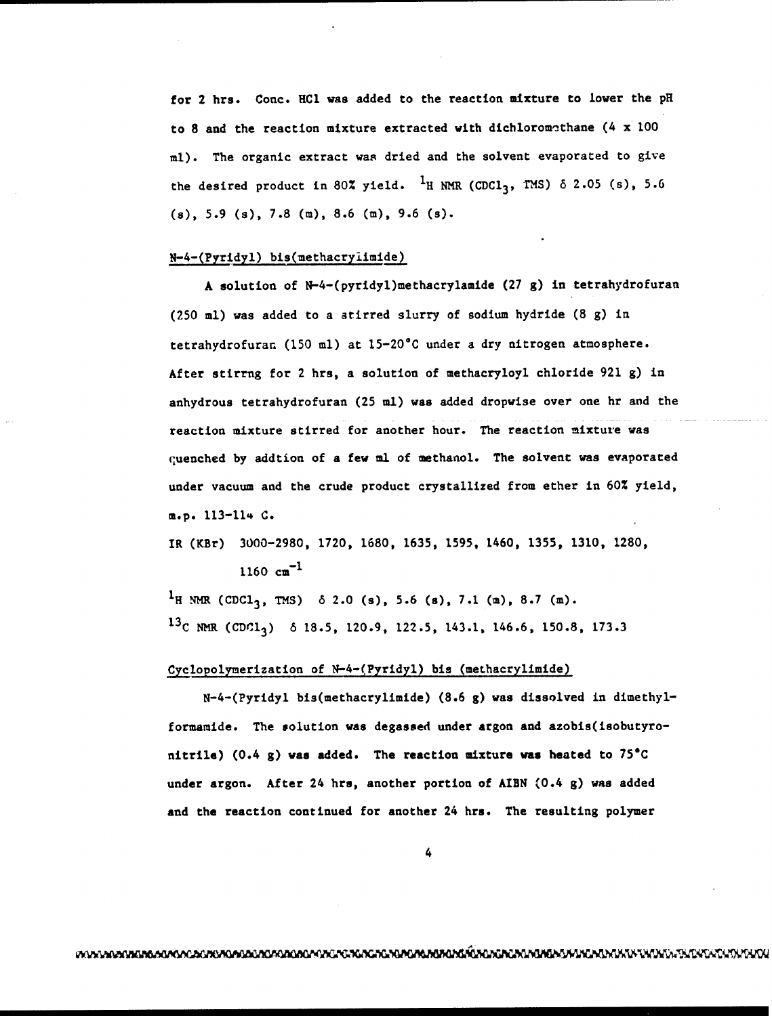for 2 hrs. Conc. HCl was added to the reaction mixture to lower the pH to 8 and the reaction mixture extracted with dichloromethane (4 x 100 ml). The organic extract was dried and the solvent evaporated to give the desired product in 80% yield. <sup>1</sup>H NMR (CDCl<sub>3</sub>, TMS)  $\delta$  2.05 (s), 5.6 (s), 5.9 (s), 7.8 (m), 8.6 (m), 9.6 (s).

# N-4-(Pyridyl) bis(methacryiimide)

A solution of N-4-(pyridyl)methacrylamide (27 g) in tetrahydrofuran (250 ml) was added to a stirred slurry of sodium hydride (8 g) in tetrahydrofurat (150 ml) at 15-20\*C under a dry nitrogen atmosphere. After stirrng for 2 hrs, a solution of methacryloyl chloride 921 g) in anhydrous tetrahydrofuran (25 ml) was added dropwise over one hr and the reaction mixture stirred for another hour. The reaction mixture was quenched by addtion of a few ml of methanol. The solvent was evaporated under vacuum and the crude product crystallized from ether in 60% yield, m.p. 113-114 C.

IR (KBr) 3000-2980, 1720, 1680, 1635, 1595, 1460, 1355, 1310, 1280,  $1160 \text{ cm}^{-1}$ 

<sup>1</sup>H NMR (CDC1<sub>3</sub>, TMS)  $\delta$  2.0 (s), 5.6 (s), 7.1 (m), 8.7 (m). <sup>13</sup>C NMR (CDC1<sub>2</sub>)  $\delta$  18.5, 120.9, 122.5, 143.1, 146.6, 150.8, 173.3

### Cyclopolynerization of N-4-(Pyridyl) bis (methacrylimide)

N-4-(Pyridyl bis(methacrylimide) (8.6 g) was dissolved in dimethylformamide. The solution was degassed under argon and azobis(isobutyronitrile)  $(0.4 \text{ g})$  was added. The reaction mixture was heated to 75°C under argon. After 24 hrs, another portion of AIBN (0.4 g) was added and the reaction continued for another 24 hrs. The resulting polymer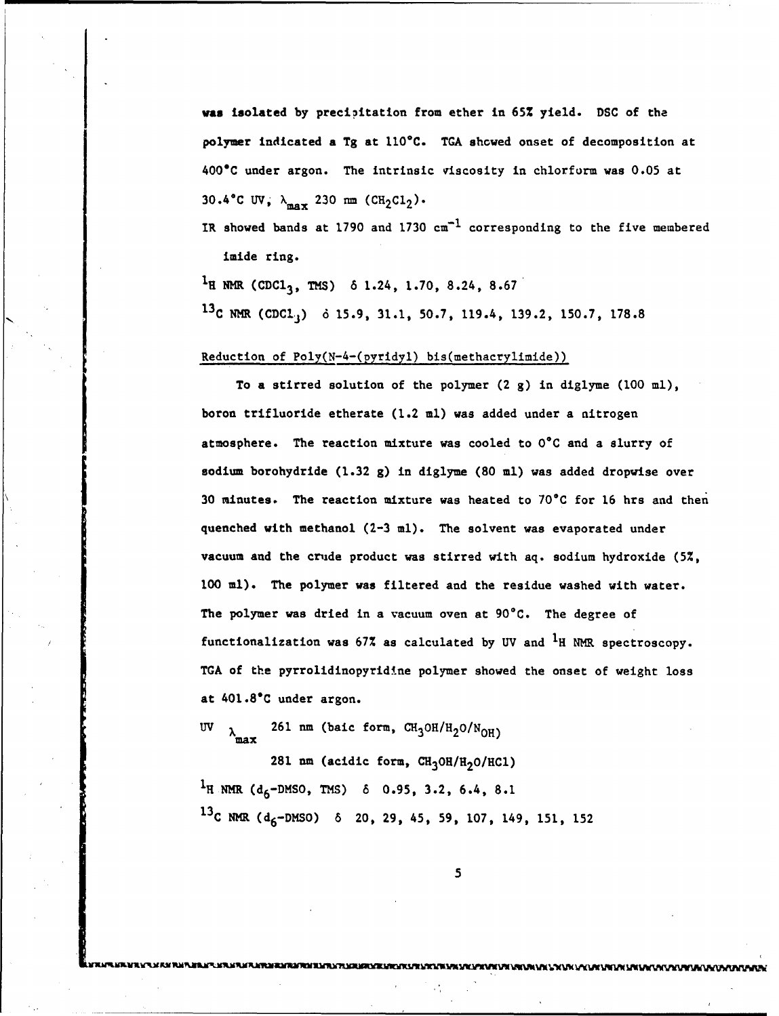was isolated by precioitation from ether in 65% yield. DSC of the polymer indicated a Tg at 110\*C. TGA showed onset of decomposition at 400°C under argon. The intrinsic viscosity in chlorform was 0.05 at 30.4°C **UV**,  $\lambda_{\text{max}}$  230 nm (CH<sub>2</sub>C1<sub>2</sub>).

IR showed bands at 1790 and 1730  $cm^{-1}$  corresponding to the five membered imide ring.

 $1_H$  NMR (CDC1<sub>3</sub>, TMS) 6 1.24, 1.70, 8.24, 8.67 **13C** NMR (CDCI) **6** 15.9, 31.1, 50.7, 119.4, 139.2, 150.7, 178.8

# Reduction of Poly(N-4-(pyridyl) bis(methacrylimide))

To a stirred solution of the polymer (2 g) in diglyme (100 ml), boron trifluoride etherate (1.2 ml) was added under a nitrogen atmosphere. The reaction mixture was cooled to 0°C and a slurry of sodium borohydride (1.32 g) in diglyme (80 ml) was added dropwise over 30 minutes. The reaction mixture was heated to 70°C for 16 hrs and then quenched with methanol (2-3 ml). The solvent was evaporated under vacuum and the crude product was stirred with aq. sodium hydroxide (5%, **<sup>100</sup>**ml). The polymer was filtered and the residue washed with water. The polymer was dried in a vacuum oven at 90°C. The degree of functionalization was  $67\%$  as calculated by UV and  $1_H$  NMR spectroscopy. TGA of the pyrrolidinopyridine polymer showed the onset of weight loss at 401.8°C under argon.

UV  $\lambda_{\text{max}}$  261 nm (baic form,  $\text{CH}_3\text{OH/H}_2\text{O/N}_{\text{OH}}$ )

281 nm (acidic form, CH<sub>3</sub>OH/H<sub>2</sub>O/HC1)  $1_H$  NMR (d<sub>6</sub>-DMSO, TMS) 6 0.95, 3.2, 6.4, 8.1 <sup>13</sup>C NMR (d<sub>6</sub>-DMSO) 6 20, 29, 45, 59, 107, 149, 151, 152

5

**RAKTAN TEMPERTAN DENGAN SENDENGAN MEMBENTUK MELINI MELINI ME**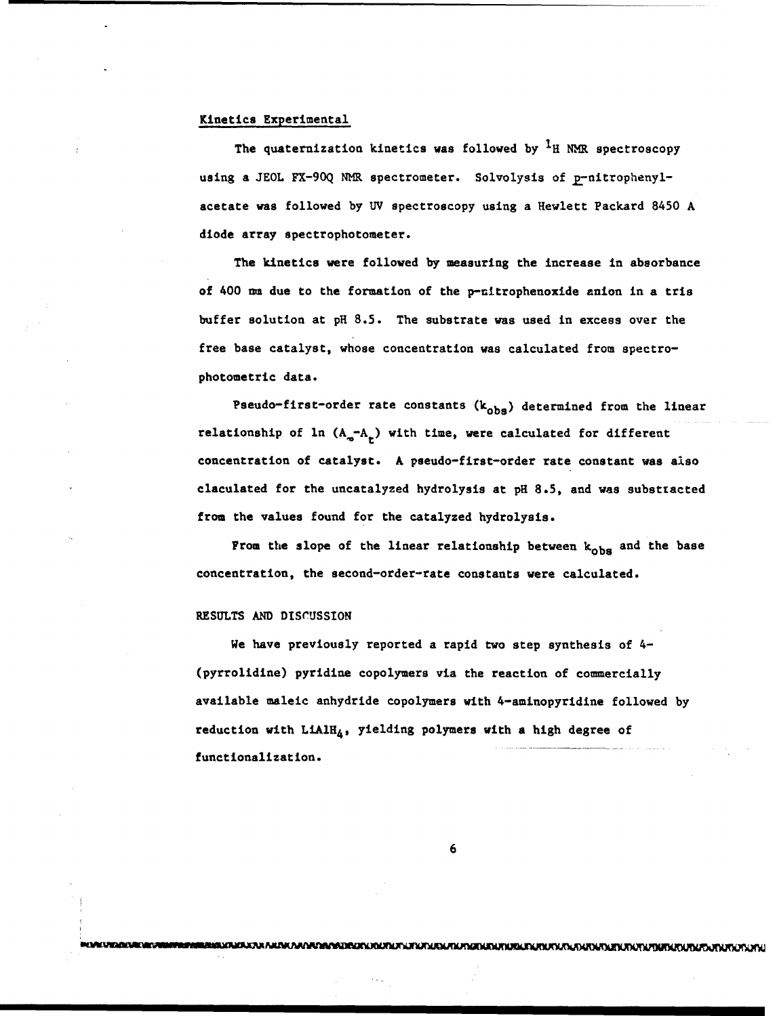## Kinetics Experimental

The quaternization kinetics was followed by  ${}^1H$  NMR spectroscopy using a JEOL FX-90Q NMR spectrometer. Solvolysis of p-nitrophenylacetate was followed by **UV** spectroscopy using a Hewlett Packard 8450 A diode array spectrophotometer.

The kinetics were followed by measuring the increase in absorbance of 400 un due to the formation of the p-nitrophenoxide anion in a tris buffer solution at pH 8.5. The substrate was used in excess over the free base catalyst, whose concentration was calculated from spectrophotometric data.

Pseudo-first-order rate constants  $(k_{obs})$  determined from the linear relationship of ln  $(A_{\sigma}-A_{r})$  with time, were calculated for different concentration of catalyst. A pseudo-first-order rate constant was also claculated for the uncatalyzed hydrolysis at pH 8.5, and was substzacted from the values found for the catalyzed hydrolysis.

From the slope of the linear relationship between  $k_{obs}$  and the base concentration, the second-order-rate constants were calculated.

#### RESULTS AND DISCUSSION

We have previously reported a rapid two step synthesis of 4-(pyrrolidine) pyridine copolymers via the reaction of commercially available maleic anhydride copolymers with 4-aminopyridine followed by reduction with  $LiAlH_4$ , yielding polymers with a high degree of functionalization.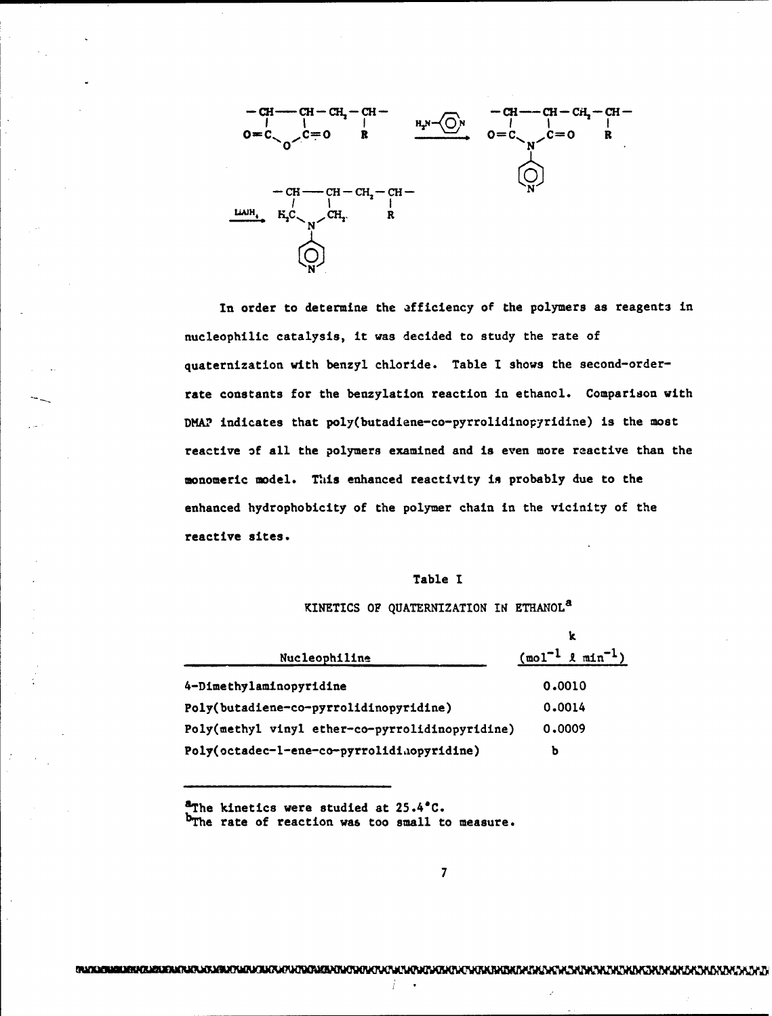

In order to determine the afficiency of the polymers as reagents in nucleophilic catalysis, it was decided to study the rate of quaternization with benzyl chloride. Table I shows the second-orderrate constants for the benzylation reaction in ethanol. Comparison with DMAP indicates that poly(butadiene-co-pyrrolidinopyridine) is the most reactive of all the polymers examined and is even more reactive than the monomeric model. This enhanced reactivity in probably due to the enhanced hydrophobicity of the polymer chain in the vicinity of the reactive sites.

## Table **I**

# KINETICS OF QUATERNIZATION IN ETHANOL<sup>a</sup>

|                                                 | k                                        |
|-------------------------------------------------|------------------------------------------|
| Nucleophiline                                   | $(\text{mol}^{-1} \ell \text{min}^{-1})$ |
| 4-Dimethylaminopyridine                         | 0.0010                                   |
| Poly(butadiene-co-pyrrolidinopyridine)          | 0.0014                                   |
| Poly(methyl vinyl ether-co-pyrrolidinopyridine) | 0,0009                                   |
| Poly(octadec-1-ene-co-pyrrolidinopyridine)      | b                                        |

<sup>a</sup>The kinetics were studied at 25.4°C. b<sub>The rate of reaction was too small to measure.</sub>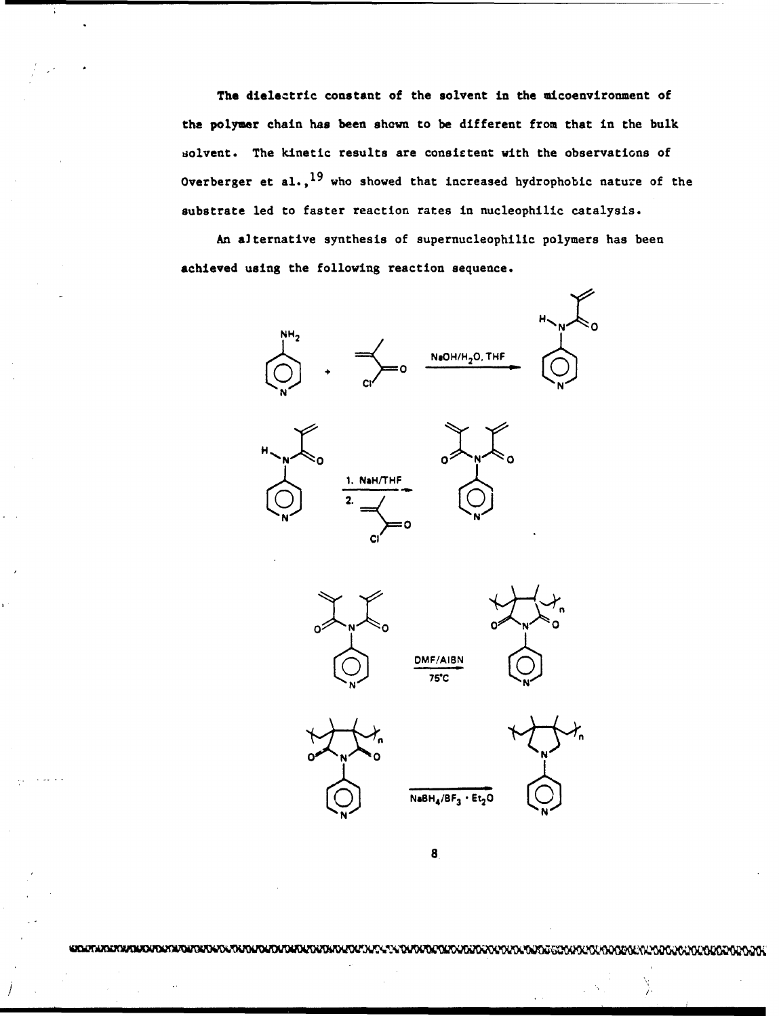The dielectric constant of the solvent in the micoenvironment of the polymer chain has been shown to be different from that in the bulk solvent. The kinetic results are consistent with the observations of Overberger et al.,  $^{19}$  who showed that increased hydrophobic nature of the substrate led to faster reaction rates in nucleophilic catalysis.

An alternative synthesis of supernucleophilic polymers has been achieved using the following reaction sequence.









II



8

DMF/AIBN<br>75°C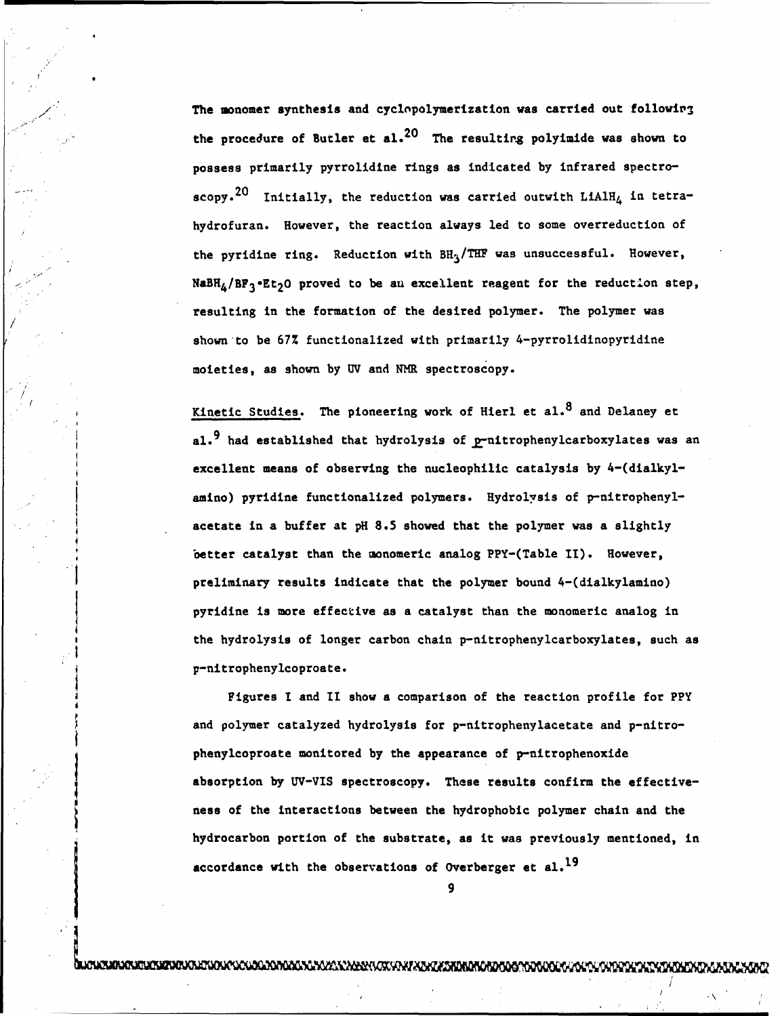The monomer synthesis and cyclopolymerization was carried out following the procedure of Butler et al.<sup>20</sup> The resulting polyimide was shown to possess primarily pyrrolidine rings as indicated by infrared spectroscopy.<sup>20</sup> Initially, the reduction was carried outwith LiAlH<sub>4</sub> in tetrahydrofuran. However, the reaction always led to some overreduction of the pyridine ring. Reduction with  $BH_3/THF$  was unsuccessful. However,  $NABH_4 / BF_3$ .Et<sub>2</sub>O proved to be an excellent reagent for the reduction step, resulting in the formation of the desired polymer. The polymer was shown to be 67% functionalized with primarily 4-pyrrolidinopyridine moieties, as shown by UV and NMR spectroscopy.

Kinetic Studies. The pioneering work of Hierl et  $a1.8$  and Delaney et al.<sup>9</sup> had established that hydrolysis of  $p$ -nitrophenylcarboxylates was an excellent means of observing the nucleophilic catalysis by 4-(dialkylamino) pyridine functionalized polymers. Hydrolysis of p-nitrophenylacetate in a buffer at pH 8.5 showed that the polymer was a slightly better catalyst than the monomeric analog PPY-(Table **11).** However, preliminary results indicate that the polymer bound 4-(dialkylamino) pyridine is more effective as a catalyst than the monomeric analog in the hydrolysis of longer carbon chain p-nitrophenylcarboxylates, such as p-nitrophenylcoproate.

Figures **I** and II show a comparison of the reaction profile for PPY and polymer catalyzed hydrolysis for p-nitrophenylacetate and p-nitrophenylcoproate monitored by the appearance of p-nitrophenoxide absorption by UV-VIS spectroscopy. These results confirm the effectiveness of the interactions between the hydrophobic polymer chain and the hydrocarbon portion of the substrate, as it was previously mentioned, in accordance with the observations of Overberger et al.<sup>19</sup>

9

experimental control of the control of the control of the control of the control of the control of the control

**CLARASKATLESKEVEVOLVOLVOLVOLOGADONGADNAN MAXSLANDER VOK VAN FADAT ADRIDROROTODO STOVOLOGA VOLV**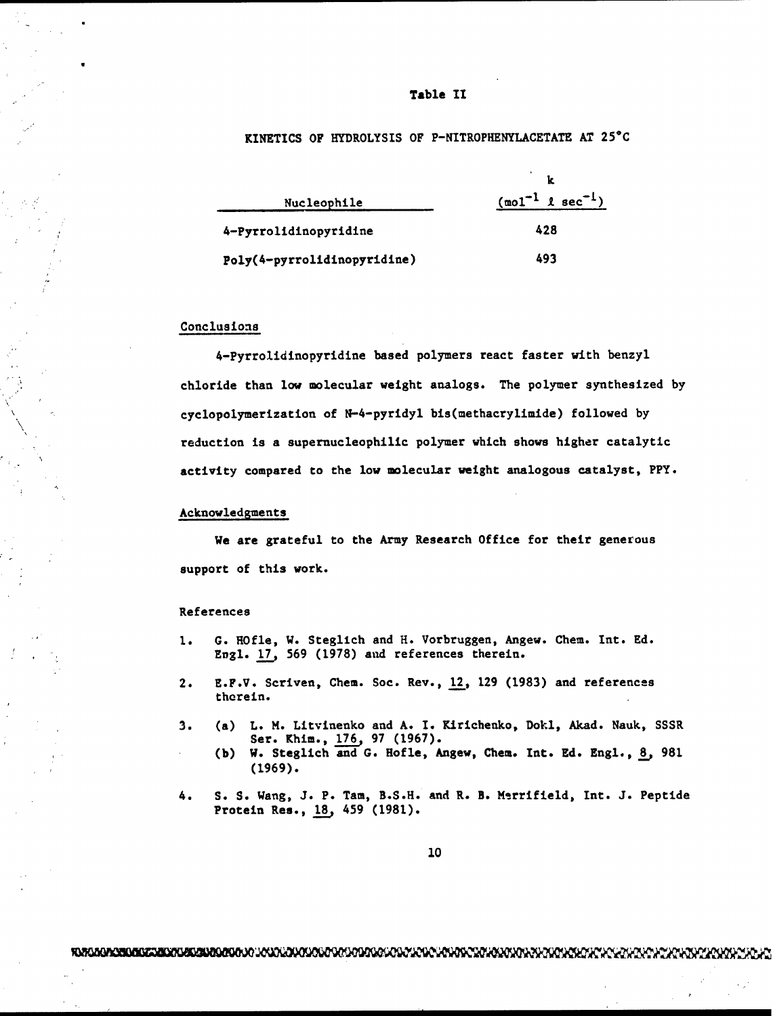#### Table **II**

# KINETICS OF HYDROLYSIS OF P-NITROPHENYLACETATE AT 25"C

| Nucleophile                 | $(\text{mol}^{-1} \text{ l sec}^{-1})$ |
|-----------------------------|----------------------------------------|
| 4-Pyrrolidinopyridine       | 428                                    |
| Poly(4-pyrrolidinopyridine) | 493                                    |

#### Conclusions

4-Pyrrolidinopyridine based polymers react faster with benzyl chloride than low molecular weight analogs. The polymer synthesized by cyclopolymerization of N-4-pyridyl bis(methacrylimide) followed by reduction is a supernucleophilic polymer which shows higher catalytic activity compared to the low molecular weight analogous catalyst, PPY.

#### Acknowledgments

We are grateful to the Army Research Office for their generous support of this work.

#### References

- **1.** G. ROfle, W. Steglich and H. Vorbruggen, Angew. Chem. Int. Ed. Engl. 17, 569 (1978) and references therein.
- 2. E.F.V. Scriven, Chem. Soc. Rev., 12, 129 (1983) and references therein.
- 3. (a) L. M. Litvinenko and A. I. Kirichenko, Dokl, Akad. Nauk, SSSR Ser. Khim., **176.,** 97 (1967).
	- (b) W. Steglich and **G.** Hofle, Angew, Chem. Int. Ed. Engl., **8,** 981 (1969).
- 4. S. S. Wang, J. P. Tam, B.S.H. and R. B. Merrifield, Int. J. Peptide Protein Res., **18.,** 459 (1981).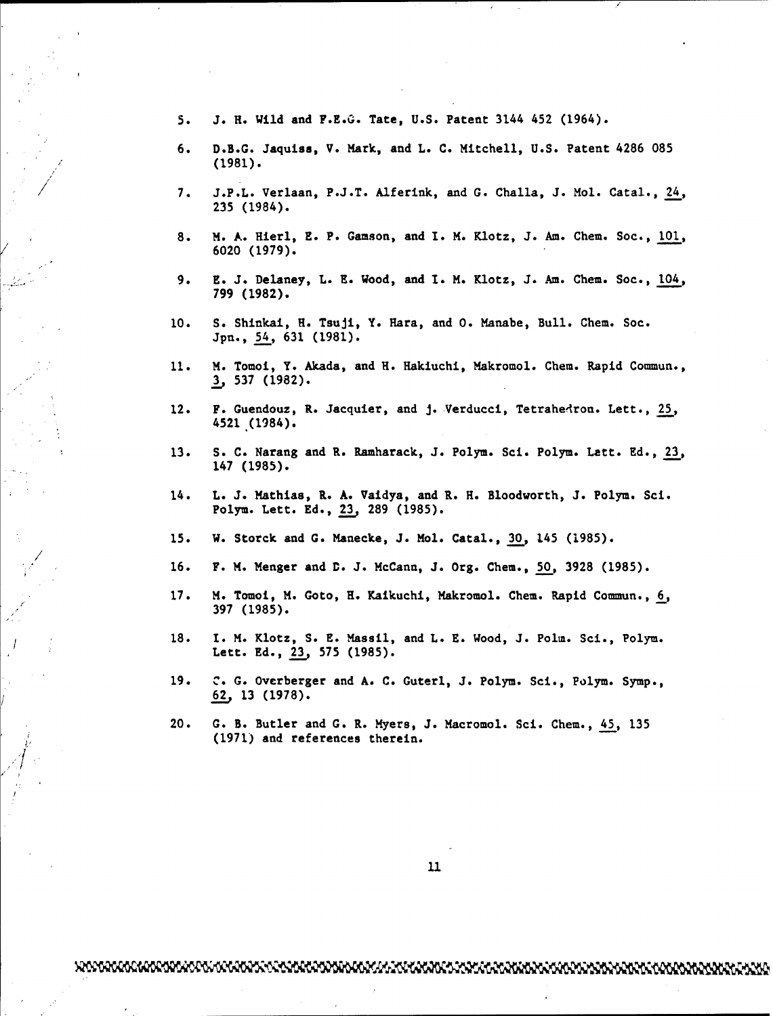- 5. J. H. Wild and F.E.G. Tate, U.S. Patent 3144 452 (1964).
- 6. D.B.G. Jaquiss, V. Mark, and L. C. Mitchell, U.S. Patent 4286 085 (1981).
- 7. J.P.L. Verlaan, P.J.T. Alferink, and G. Challa, J. Mol. Catal., 24, 235 (1984).
- 8. M. A. Hierl, E. P. Gamson, and I. M. Klotz, J. Am. Chem. Soc., 101, 6020 (1979).
- 9. E. J. Delaney, L. E. Wood, and I. M. Klotz, J. Am. Chem. Soc., 104, 799 (1982).
- 10. **S.** Shinkai, **H.** Tsuji, Y. Hara, and **0.** Manabe, Bull. Chem. Soc. Jpn., 54, 631 (1981).
- 11. M. Tomoi, Y. Akada, and H. Hakiuchi, Makromol. Chem. Rapid Commun., **3** 537 (1982).
- 12. F. Guendouz, R. Jacquier, and J. Verducci, Tetrahedron. Lett., 25, 4521 (1984).
- 13. S. C. Narang and R. Ramharack, J. Polym. Sci. Polym. Lett. Ed., 23, 147 (1985).
- 14. L. J. Mathias, R. A. Vaidya, and R. **H.** Bloodworth, **J.** Polym. Sci. Polym. Lett. Ed., 23, 289 (1985).
- 15. W. Storck and **G.** Manecke, J. Mol. Catal., **30,** 145 (1985).

/

- 16. F. M. Menger and **D.** J. McCann, J. Org. Chem., 50, 3928 (1985).
- 17. M. Tomol, M. Goto, H. Kaikuchi, Makromol. Chem. Rapid Commun., 6, 397 (1985).
- 18. **1.** M. Klotz, S. E. Massil, and L. E. Wood, J. Polm. Sci., Polym. Lett. Ed., 23, 575 (1985).
- 19. *C.* **G.** Overberger and A. C. Guterl, J. Polym. Sci., Polym. Symp., **62** 13 (1978).
- 20. **G.** B. Butler and G. R. Myers, J. Macromol. Sci. Chem., 45, 135 (1971) and references therein.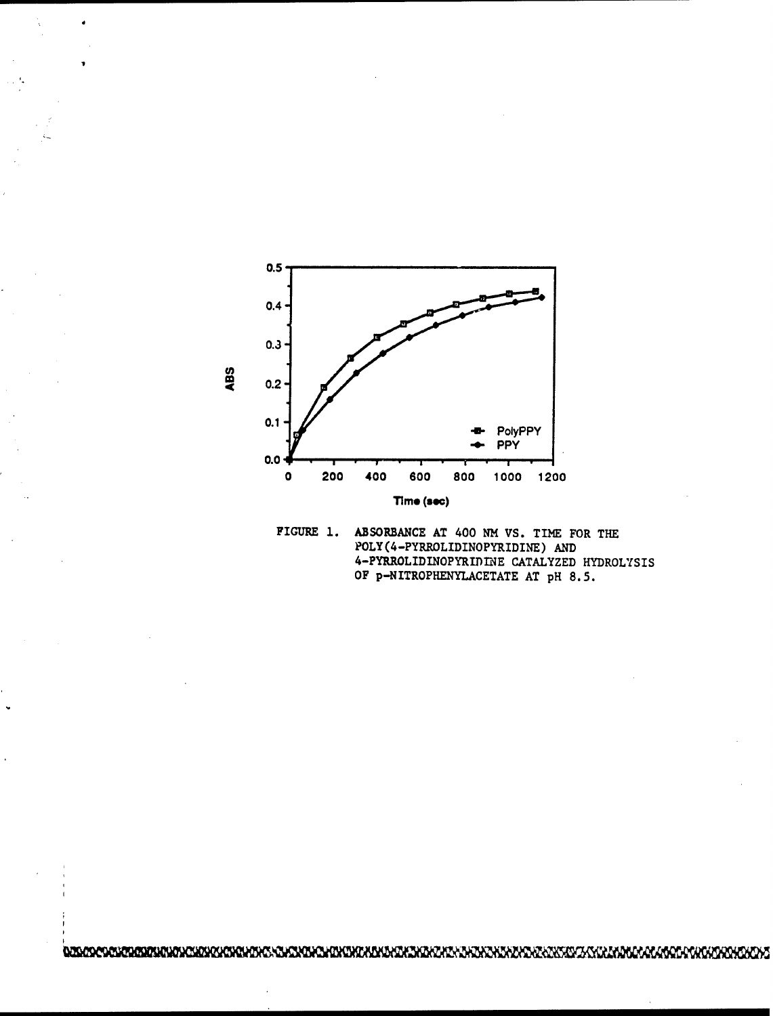

FIGURE **1.** ABSORBANCE AT 400 NM VS. TINE FOR THE POLY (4-PYRROLIDINOPYRIDINE) AND 4-PYRROLIDINOPYRIPINE CATALYZED HYDROLYSIS OF p-NITROPHENYLACETATE AT pH 8.5.

<u>usaco costansistano di come contra porte de contra monte de desenta de contra de contra de contra de contra mon</u>